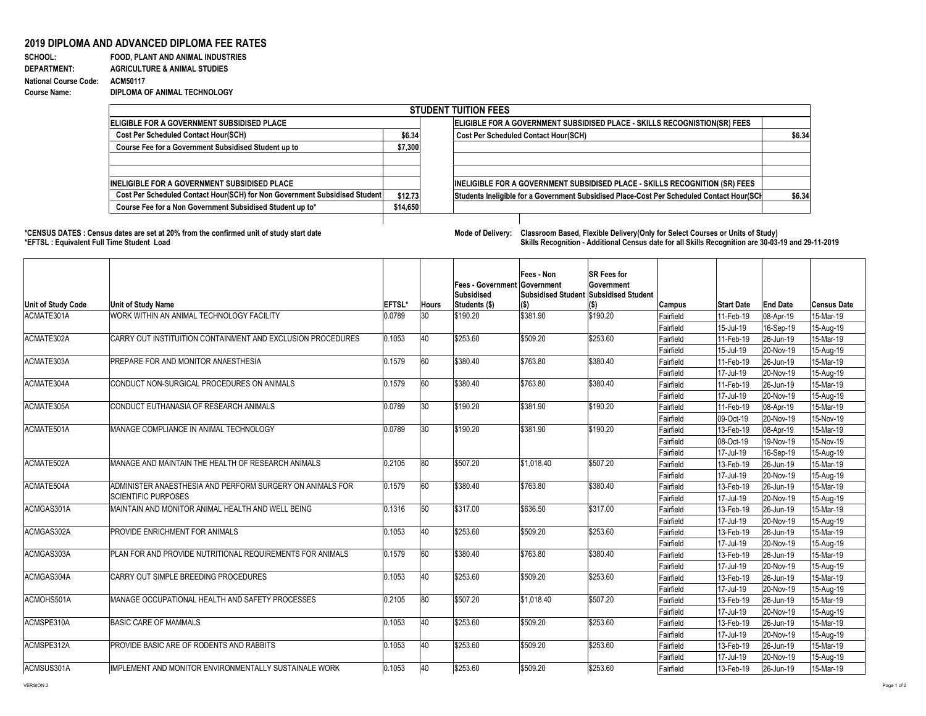## **2019 DIPLOMA AND ADVANCED DIPLOMA FEE RATES** $\mathbf 0$

## **SCHOOL: FOOD, PLANT AND ANIMAL INDUSTRIES DEPARTMENT: AGRICULTURE & ANIMAL STUDIES National Course Code: ACM50117Course Name: DIPLOMA OF ANIMAL TECHNOLOGY**

|                                                                            |          | <b>STUDENT TUITION FEES</b>                                                               |        |
|----------------------------------------------------------------------------|----------|-------------------------------------------------------------------------------------------|--------|
| ELIGIBLE FOR A GOVERNMENT SUBSIDISED PLACE                                 |          | ELIGIBLE FOR A GOVERNMENT SUBSIDISED PLACE - SKILLS RECOGNISTION(SR) FEES                 |        |
| <b>Cost Per Scheduled Contact Hour(SCH)</b>                                | \$6.34   | <b>Cost Per Scheduled Contact Hour(SCH)</b>                                               | \$6.34 |
| Course Fee for a Government Subsidised Student up to                       | \$7,300  |                                                                                           |        |
|                                                                            |          |                                                                                           |        |
|                                                                            |          |                                                                                           |        |
| INELIGIBLE FOR A GOVERNMENT SUBSIDISED PLACE                               |          | INELIGIBLE FOR A GOVERNMENT SUBSIDISED PLACE - SKILLS RECOGNITION (SR) FEES               |        |
| Cost Per Scheduled Contact Hour(SCH) for Non Government Subsidised Student | \$12.73  | Students Ineligible for a Government Subsidised Place-Cost Per Scheduled Contact Hour(SCH | \$6.34 |
| Course Fee for a Non Government Subsidised Student up to*                  | \$14,650 |                                                                                           |        |
|                                                                            |          |                                                                                           |        |

\*CENSUS DATES : Census dates are set at 20% from the confirmed unit of study start date Mode of Delivery: Classroom Based, Flexible Delivery(Only for Select Courses or Units of Study)<br>\*EFTSL : Equivalent F

| Unit of Study Code | Unit of Study Name                                          | <b>EFTSL*</b> | <b>Hours</b> | <b>Fees - Government</b><br>Subsidised<br>Students (\$) | Fees - Non<br>Government<br><b>Subsidised Student</b> | <b>SR Fees for</b><br>Government<br><b>Subsidised Student</b> | <b>Campus</b> | <b>Start Date</b> | <b>End Date</b> | <b>Census Date</b> |
|--------------------|-------------------------------------------------------------|---------------|--------------|---------------------------------------------------------|-------------------------------------------------------|---------------------------------------------------------------|---------------|-------------------|-----------------|--------------------|
| ACMATE301A         | WORK WITHIN AN ANIMAL TECHNOLOGY FACILITY                   | 0.0789        | 30           | \$190.20                                                | (\$)<br>\$381.90                                      | $($ \$)<br>\$190.20                                           | Fairfield     | 11-Feb-19         | 08-Apr-19       | 15-Mar-19          |
|                    |                                                             |               |              |                                                         |                                                       |                                                               | Fairfield     | 15-Jul-19         | 16-Sep-19       | 15-Aug-19          |
| ACMATE302A         | CARRY OUT INSTITUITION CONTAINMENT AND EXCLUSION PROCEDURES | 0.1053        | 40           | \$253.60                                                | \$509.20                                              | \$253.60                                                      | Fairfield     | 11-Feb-19         | 26-Jun-19       | 15-Mar-19          |
|                    |                                                             |               |              |                                                         |                                                       |                                                               | Fairfield     | 15-Jul-19         | 20-Nov-19       | 15-Aug-19          |
| ACMATE303A         | PREPARE FOR AND MONITOR ANAESTHESIA                         | 0.1579        | 60           | \$380.40                                                | \$763.80                                              | \$380.40                                                      | Fairfield     | 11-Feb-19         | 26-Jun-19       | 15-Mar-19          |
|                    |                                                             |               |              |                                                         |                                                       |                                                               | Fairfield     | 17-Jul-19         | 20-Nov-19       | 15-Aug-19          |
| ACMATE304A         | CONDUCT NON-SURGICAL PROCEDURES ON ANIMALS                  | 0.1579        | 60           | \$380.40                                                | \$763.80                                              | \$380.40                                                      | Fairfield     | 11-Feb-19         | 26-Jun-19       | 15-Mar-19          |
|                    |                                                             |               |              |                                                         |                                                       |                                                               | Fairfield     | 17-Jul-19         | 20-Nov-19       | 15-Aug-19          |
| ACMATE305A         | CONDUCT EUTHANASIA OF RESEARCH ANIMALS                      | 0.0789        | 30           | \$190.20                                                | \$381.90                                              | \$190.20                                                      | Fairfield     | 11-Feb-19         | 08-Apr-19       | 15-Mar-19          |
|                    |                                                             |               |              |                                                         |                                                       |                                                               | Fairfield     | 09-Oct-19         | 20-Nov-19       | 15-Nov-19          |
| ACMATE501A         | MANAGE COMPLIANCE IN ANIMAL TECHNOLOGY                      | 0.0789        | 30           | \$190.20                                                | \$381.90                                              | \$190.20                                                      | Fairfield     | 13-Feb-19         | 08-Apr-19       | 15-Mar-19          |
|                    |                                                             |               |              |                                                         |                                                       |                                                               | Fairfield     | 08-Oct-19         | 19-Nov-19       | 15-Nov-19          |
|                    |                                                             |               |              |                                                         |                                                       |                                                               | Fairfield     | 17-Jul-19         | 16-Sep-19       | 15-Aug-19          |
| ACMATE502A         | MANAGE AND MAINTAIN THE HEALTH OF RESEARCH ANIMALS          | 0.2105        | 80           | \$507.20                                                | \$1,018.40                                            | \$507.20                                                      | Fairfield     | 13-Feb-19         | 26-Jun-19       | 15-Mar-19          |
|                    |                                                             |               |              |                                                         |                                                       |                                                               | Fairfield     | 17-Jul-19         | 20-Nov-19       | 15-Aug-19          |
| ACMATE504A         | ADMINISTER ANAESTHESIA AND PERFORM SURGERY ON ANIMALS FOR   | 0.1579        | 60           | \$380.40                                                | \$763.80                                              | \$380.40                                                      | Fairfield     | 13-Feb-19         | 26-Jun-19       | 15-Mar-19          |
|                    | <b>SCIENTIFIC PURPOSES</b>                                  |               |              |                                                         |                                                       |                                                               | Fairfield     | 17-Jul-19         | 20-Nov-19       | 15-Aug-19          |
| ACMGAS301A         | MAINTAIN AND MONITOR ANIMAL HEALTH AND WELL BEING           | 0.1316        | 50           | \$317.00                                                | \$636.50                                              | \$317.00                                                      | Fairfield     | 13-Feb-19         | 26-Jun-19       | 15-Mar-19          |
|                    |                                                             |               |              |                                                         |                                                       |                                                               | Fairfield     | 17-Jul-19         | 20-Nov-19       | 15-Aug-19          |
| ACMGAS302A         | <b>PROVIDE ENRICHMENT FOR ANIMALS</b>                       | 0.1053        | 40           | \$253.60                                                | \$509.20                                              | \$253.60                                                      | Fairfield     | 13-Feb-19         | 26-Jun-19       | 15-Mar-19          |
|                    |                                                             |               |              |                                                         |                                                       |                                                               | Fairfield     | 17-Jul-19         | 20-Nov-19       | 15-Aug-19          |
| ACMGAS303A         | PLAN FOR AND PROVIDE NUTRITIONAL REQUIREMENTS FOR ANIMALS   | 0.1579        | 60           | \$380.40                                                | \$763.80                                              | \$380.40                                                      | Fairfield     | 13-Feb-19         | 26-Jun-19       | 15-Mar-19          |
|                    |                                                             |               |              |                                                         |                                                       |                                                               | Fairfield     | 17-Jul-19         | 20-Nov-19       | 15-Aug-19          |
| ACMGAS304A         | CARRY OUT SIMPLE BREEDING PROCEDURES                        | 0.1053        | 40           | \$253.60                                                | \$509.20                                              | \$253.60                                                      | Fairfield     | 13-Feb-19         | 26-Jun-19       | 15-Mar-19          |
|                    |                                                             |               |              |                                                         |                                                       |                                                               | Fairfield     | 17-Jul-19         | 20-Nov-19       | 15-Aug-19          |
| ACMOHS501A         | MANAGE OCCUPATIONAL HEALTH AND SAFETY PROCESSES             | 0.2105        | 80           | \$507.20                                                | \$1.018.40                                            | \$507.20                                                      | Fairfield     | 13-Feb-19         | 26-Jun-19       | 15-Mar-19          |
|                    |                                                             |               |              |                                                         |                                                       |                                                               | Fairfield     | 17-Jul-19         | 20-Nov-19       | 15-Aug-19          |
| ACMSPE310A         | <b>BASIC CARE OF MAMMALS</b>                                | 0.1053        | 40           | \$253.60                                                | \$509.20                                              | \$253.60                                                      | Fairfield     | 13-Feb-19         | 26-Jun-19       | 15-Mar-19          |
|                    |                                                             |               |              |                                                         |                                                       |                                                               | Fairfield     | 17-Jul-19         | 20-Nov-19       | 15-Aug-19          |
| ACMSPE312A         | PROVIDE BASIC ARE OF RODENTS AND RABBITS                    | 0.1053        | 40           | \$253.60                                                | \$509.20                                              | \$253.60                                                      | Fairfield     | 13-Feb-19         | 26-Jun-19       | 15-Mar-19          |
|                    |                                                             |               |              |                                                         |                                                       |                                                               | Fairfield     | 17-Jul-19         | 20-Nov-19       | 15-Aug-19          |
| ACMSUS301A         | IIMPLEMENT AND MONITOR ENVIRONMENTALLY SUSTAINALE WORK      | 0.1053        | 40           | \$253.60                                                | \$509.20                                              | \$253.60                                                      | Fairfield     | 13-Feb-19         | 26-Jun-19       | 15-Mar-19          |